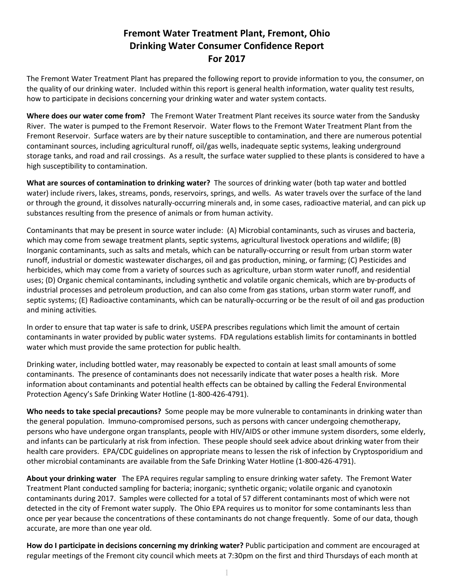## **Fremont Water Treatment Plant, Fremont, Ohio Drinking Water Consumer Confidence Report For 2017**

The Fremont Water Treatment Plant has prepared the following report to provide information to you, the consumer, on the quality of our drinking water. Included within this report is general health information, water quality test results, how to participate in decisions concerning your drinking water and water system contacts.

**Where does our water come from?** The Fremont Water Treatment Plant receives its source water from the Sandusky River. The water is pumped to the Fremont Reservoir. Water flows to the Fremont Water Treatment Plant from the Fremont Reservoir. Surface waters are by their nature susceptible to contamination, and there are numerous potential contaminant sources, including agricultural runoff, oil/gas wells, inadequate septic systems, leaking underground storage tanks, and road and rail crossings. As a result, the surface water supplied to these plants is considered to have a high susceptibility to contamination.

**What are sources of contamination to drinking water?** The sources of drinking water (both tap water and bottled water) include rivers, lakes, streams, ponds, reservoirs, springs, and wells. As water travels over the surface of the land or through the ground, it dissolves naturally-occurring minerals and, in some cases, radioactive material, and can pick up substances resulting from the presence of animals or from human activity.

Contaminants that may be present in source water include: (A) Microbial contaminants, such as viruses and bacteria, which may come from sewage treatment plants, septic systems, agricultural livestock operations and wildlife; (B) Inorganic contaminants, such as salts and metals, which can be naturally-occurring or result from urban storm water runoff, industrial or domestic wastewater discharges, oil and gas production, mining, or farming; (C) Pesticides and herbicides, which may come from a variety of sources such as agriculture, urban storm water runoff, and residential uses; (D) Organic chemical contaminants, including synthetic and volatile organic chemicals, which are by-products of industrial processes and petroleum production, and can also come from gas stations, urban storm water runoff, and septic systems; (E) Radioactive contaminants, which can be naturally-occurring or be the result of oil and gas production and mining activities*.* 

In order to ensure that tap water is safe to drink, USEPA prescribes regulations which limit the amount of certain contaminants in water provided by public water systems. FDA regulations establish limits for contaminants in bottled water which must provide the same protection for public health.

Drinking water, including bottled water, may reasonably be expected to contain at least small amounts of some contaminants. The presence of contaminants does not necessarily indicate that water poses a health risk. More information about contaminants and potential health effects can be obtained by calling the Federal Environmental Protection Agency's Safe Drinking Water Hotline (1-800-426-4791).

**Who needs to take special precautions?** Some people may be more vulnerable to contaminants in drinking water than the general population. Immuno-compromised persons, such as persons with cancer undergoing chemotherapy, persons who have undergone organ transplants, people with HIV/AIDS or other immune system disorders, some elderly, and infants can be particularly at risk from infection. These people should seek advice about drinking water from their health care providers. EPA/CDC guidelines on appropriate means to lessen the risk of infection by Cryptosporidium and other microbial contaminants are available from the Safe Drinking Water Hotline (1-800-426-4791).

**About your drinking water** The EPA requires regular sampling to ensure drinking water safety. The Fremont Water Treatment Plant conducted sampling for bacteria; inorganic; synthetic organic; volatile organic and cyanotoxin contaminants during 2017. Samples were collected for a total of 57 different contaminants most of which were not detected in the city of Fremont water supply. The Ohio EPA requires us to monitor for some contaminants less than once per year because the concentrations of these contaminants do not change frequently. Some of our data, though accurate, are more than one year old.

**How do I participate in decisions concerning my drinking water?** Public participation and comment are encouraged at regular meetings of the Fremont city council which meets at 7:30pm on the first and third Thursdays of each month at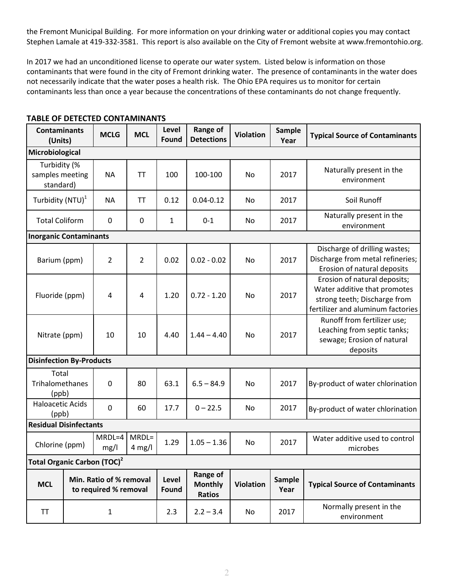the Fremont Municipal Building.For more information on your drinking water or additional copies you may contact Stephen Lamale at 419-332-3581. This report is also available on the City of Fremont website at www.fremontohio.org.

In 2017 we had an unconditioned license to operate our water system. Listed below is information on those contaminants that were found in the city of Fremont drinking water. The presence of contaminants in the water does not necessarily indicate that the water poses a health risk. The Ohio EPA requires us to monitor for certain contaminants less than once a year because the concentrations of these contaminants do not change frequently.

| <b>Contaminants</b><br>(Units)                                 |  | <b>MCLG</b>      | <b>MCL</b>                                  | Level<br>Found   | <b>Range of</b><br><b>Detections</b> | <b>Violation</b>                      | <b>Sample</b><br>Year | <b>Typical Source of Contaminants</b>                                                                                             |  |
|----------------------------------------------------------------|--|------------------|---------------------------------------------|------------------|--------------------------------------|---------------------------------------|-----------------------|-----------------------------------------------------------------------------------------------------------------------------------|--|
| Microbiological                                                |  |                  |                                             |                  |                                      |                                       |                       |                                                                                                                                   |  |
| Turbidity (%<br>samples meeting<br>standard)                   |  | <b>NA</b>        | TT                                          | 100              | 100-100                              | No                                    | 2017                  | Naturally present in the<br>environment                                                                                           |  |
| Turbidity (NTU) <sup>1</sup>                                   |  | <b>NA</b>        | TT                                          | 0.12             | $0.04 - 0.12$                        | No                                    | 2017                  | Soil Runoff                                                                                                                       |  |
| <b>Total Coliform</b>                                          |  | 0                | 0                                           | 1                | $0 - 1$                              | No                                    | 2017                  | Naturally present in the<br>environment                                                                                           |  |
| <b>Inorganic Contaminants</b>                                  |  |                  |                                             |                  |                                      |                                       |                       |                                                                                                                                   |  |
| Barium (ppm)                                                   |  | $\overline{2}$   | 2                                           | 0.02             | $0.02 - 0.02$                        | No                                    | 2017                  | Discharge of drilling wastes;<br>Discharge from metal refineries;<br>Erosion of natural deposits                                  |  |
| Fluoride (ppm)                                                 |  | 4                | 4                                           | 1.20             | $0.72 - 1.20$                        | No                                    | 2017                  | Erosion of natural deposits;<br>Water additive that promotes<br>strong teeth; Discharge from<br>fertilizer and aluminum factories |  |
| Nitrate (ppm)                                                  |  | 10               | 10                                          | 4.40             | $1.44 - 4.40$<br><b>No</b>           |                                       | 2017                  | Runoff from fertilizer use;<br>Leaching from septic tanks;<br>sewage; Erosion of natural<br>deposits                              |  |
| <b>Disinfection By-Products</b>                                |  |                  |                                             |                  |                                      |                                       |                       |                                                                                                                                   |  |
| Total<br>Trihalomethanes<br>(ppb)                              |  | $\mathbf 0$      | 80                                          | 63.1             | $6.5 - 84.9$                         | No                                    | 2017                  | By-product of water chlorination                                                                                                  |  |
| <b>Haloacetic Acids</b><br>(ppb)                               |  | 0                | 60                                          | 17.7             | $0 - 22.5$                           | No                                    | 2017                  | By-product of water chlorination                                                                                                  |  |
| <b>Residual Disinfectants</b>                                  |  |                  |                                             |                  |                                      |                                       |                       |                                                                                                                                   |  |
| Chlorine (ppm)                                                 |  | $MRDL=4$<br>mg/l | $MRDL=$<br>$4$ mg/l                         | 1.29             | $1.05 - 1.36$                        | No                                    | 2017                  | Water additive used to control<br>microbes                                                                                        |  |
| Total Organic Carbon (TOC) <sup>2</sup>                        |  |                  |                                             |                  |                                      |                                       |                       |                                                                                                                                   |  |
| Min. Ratio of % removal<br><b>MCL</b><br>to required % removal |  | Level<br>Found   | Range of<br><b>Monthly</b><br><b>Ratios</b> | <b>Violation</b> | Sample<br>Year                       | <b>Typical Source of Contaminants</b> |                       |                                                                                                                                   |  |
| <b>TT</b>                                                      |  | 1                |                                             | 2.3              | $2.2 - 3.4$                          | No                                    | 2017                  | Normally present in the<br>environment                                                                                            |  |

## **TABLE OF DETECTED CONTAMINANTS**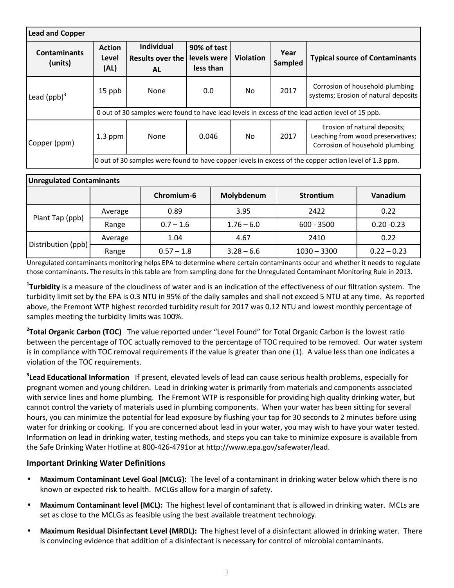| <b>Lead and Copper</b>         |                                                                                                       |                                                           |                                         |                  |                 |                                                                                                      |  |  |  |
|--------------------------------|-------------------------------------------------------------------------------------------------------|-----------------------------------------------------------|-----------------------------------------|------------------|-----------------|------------------------------------------------------------------------------------------------------|--|--|--|
| <b>Contaminants</b><br>(units) | <b>Action</b><br>Level<br>(AL)                                                                        | <b>Individual</b><br><b>Results over the</b><br><b>AL</b> | 90% of test<br>levels were<br>less than | <b>Violation</b> | Year<br>Sampled | <b>Typical source of Contaminants</b>                                                                |  |  |  |
| Lead $(ppb)^3$                 | 15 ppb                                                                                                | None                                                      | 0.0                                     | No.              | 2017            | Corrosion of household plumbing<br>systems; Erosion of natural deposits                              |  |  |  |
|                                | 0 out of 30 samples were found to have lead levels in excess of the lead action level of 15 ppb.      |                                                           |                                         |                  |                 |                                                                                                      |  |  |  |
| Copper (ppm)                   | $1.3$ ppm                                                                                             | None                                                      | 0.046                                   | N <sub>0</sub>   | 2017            | Erosion of natural deposits;<br>Leaching from wood preservatives;<br>Corrosion of household plumbing |  |  |  |
|                                | 0 out of 30 samples were found to have copper levels in excess of the copper action level of 1.3 ppm. |                                                           |                                         |                  |                 |                                                                                                      |  |  |  |

| <b>Unregulated Contaminants</b> |         |              |              |                  |               |  |  |  |
|---------------------------------|---------|--------------|--------------|------------------|---------------|--|--|--|
|                                 |         | Chromium-6   | Molybdenum   | <b>Strontium</b> | Vanadium      |  |  |  |
|                                 | Average | 0.89         | 3.95         | 2422             | 0.22          |  |  |  |
| Plant Tap (ppb)                 | Range   | $0.7 - 1.6$  | $1.76 - 6.0$ | $600 - 3500$     | $0.20 - 0.23$ |  |  |  |
| Distribution (ppb)              | Average | 1.04         | 4.67         | 2410             | 0.22          |  |  |  |
|                                 | Range   | $0.57 - 1.8$ | $3.28 - 6.6$ | $1030 - 3300$    | $0.22 - 0.23$ |  |  |  |

Unregulated contaminants monitoring helps EPA to determine where certain contaminants occur and whether it needs to regulate those contaminants. The results in this table are from sampling done for the Unregulated Contaminant Monitoring Rule in 2013.

**1 Turbidity** is a measure of the cloudiness of water and is an indication of the effectiveness of our filtration system. The turbidity limit set by the EPA is 0.3 NTU in 95% of the daily samples and shall not exceed 5 NTU at any time. As reported above, the Fremont WTP highest recorded turbidity result for 2017 was 0.12 NTU and lowest monthly percentage of samples meeting the turbidity limits was 100%.

**2 Total Organic Carbon (TOC)** The value reported under "Level Found" for Total Organic Carbon is the lowest ratio between the percentage of TOC actually removed to the percentage of TOC required to be removed. Our water system is in compliance with TOC removal requirements if the value is greater than one (1). A value less than one indicates a violation of the TOC requirements.

**3 Lead Educational Information** If present, elevated levels of lead can cause serious health problems, especially for pregnant women and young children. Lead in drinking water is primarily from materials and components associated with service lines and home plumbing. The Fremont WTP is responsible for providing high quality drinking water, but cannot control the variety of materials used in plumbing components. When your water has been sitting for several hours, you can minimize the potential for lead exposure by flushing your tap for 30 seconds to 2 minutes before using water for drinking or cooking. If you are concerned about lead in your water, you may wish to have your water tested. Information on lead in drinking water, testing methods, and steps you can take to minimize exposure is available from the Safe Drinking Water Hotline at 800-426-4791or at http://www.epa.gov/safewater/lead.

## **Important Drinking Water Definitions**

- **Maximum Contaminant Level Goal (MCLG):** The level of a contaminant in drinking water below which there is no known or expected risk to health. MCLGs allow for a margin of safety.
- **Maximum Contaminant level (MCL):** The highest level of contaminant that is allowed in drinking water. MCLs are set as close to the MCLGs as feasible using the best available treatment technology.
- **Maximum Residual Disinfectant Level (MRDL):** The highest level of a disinfectant allowed in drinking water. There is convincing evidence that addition of a disinfectant is necessary for control of microbial contaminants.